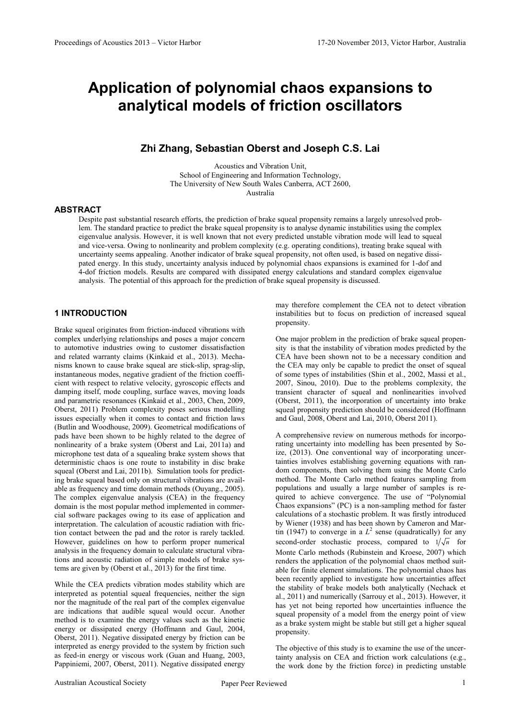# Application of polynomial chaos expansions to analytical models of friction oscillators

# Zhi Zhang, Sebastian Oberst and Joseph C.S. Lai

Acoustics and Vibration Unit, School of Engineering and Information Technology, The University of New South Wales Canberra, ACT 2600, Australia

# ABSTRACT

Despite past substantial research efforts, the prediction of brake squeal propensity remains a largely unresolved problem. The standard practice to predict the brake squeal propensity is to analyse dynamic instabilities using the complex eigenvalue analysis. However, it is well known that not every predicted unstable vibration mode will lead to squeal and vice-versa. Owing to nonlinearity and problem complexity (e.g. operating conditions), treating brake squeal with uncertainty seems appealing. Another indicator of brake squeal propensity, not often used, is based on negative dissipated energy. In this study, uncertainty analysis induced by polynomial chaos expansions is examined for 1-dof and 4-dof friction models. Results are compared with dissipated energy calculations and standard complex eigenvalue analysis. The potential of this approach for the prediction of brake squeal propensity is discussed.

# 1 INTRODUCTION

Brake squeal originates from friction-induced vibrations with complex underlying relationships and poses a major concern to automotive industries owing to customer dissatisfaction and related warranty claims (Kinkaid et al., 2013). Mechanisms known to cause brake squeal are stick-slip, sprag-slip, instantaneous modes, negative gradient of the friction coefficient with respect to relative velocity, gyroscopic effects and damping itself, mode coupling, surface waves, moving loads and parametric resonances (Kinkaid et al., 2003, Chen, 2009, Oberst, 2011) Problem complexity poses serious modelling issues especially when it comes to contact and friction laws (Butlin and Woodhouse, 2009). Geometrical modifications of pads have been shown to be highly related to the degree of nonlinearity of a brake system (Oberst and Lai, 2011a) and microphone test data of a squealing brake system shows that deterministic chaos is one route to instability in disc brake squeal (Oberst and Lai, 2011b). Simulation tools for predicting brake squeal based only on structural vibrations are available as frequency and time domain methods (Ouyang., 2005). The complex eigenvalue analysis (CEA) in the frequency domain is the most popular method implemented in commercial software packages owing to its ease of application and interpretation. The calculation of acoustic radiation with friction contact between the pad and the rotor is rarely tackled. However, guidelines on how to perform proper numerical analysis in the frequency domain to calculate structural vibrations and acoustic radiation of simple models of brake systems are given by (Oberst et al., 2013) for the first time.

While the CEA predicts vibration modes stability which are interpreted as potential squeal frequencies, neither the sign nor the magnitude of the real part of the complex eigenvalue are indications that audible squeal would occur. Another method is to examine the energy values such as the kinetic energy or dissipated energy (Hoffmann and Gaul, 2004, Oberst, 2011). Negative dissipated energy by friction can be interpreted as energy provided to the system by friction such as feed-in energy or viscous work (Guan and Huang, 2003, Pappiniemi, 2007, Oberst, 2011). Negative dissipated energy

may therefore complement the CEA not to detect vibration instabilities but to focus on prediction of increased squeal propensity.

One major problem in the prediction of brake squeal propensity is that the instability of vibration modes predicted by the CEA have been shown not to be a necessary condition and the CEA may only be capable to predict the onset of squeal of some types of instabilities (Shin et al., 2002, Massi et al., 2007, Sinou, 2010). Due to the problems complexity, the transient character of squeal and nonlinearities involved (Oberst, 2011), the incorporation of uncertainty into brake squeal propensity prediction should be considered (Hoffmann and Gaul, 2008, Oberst and Lai, 2010, Oberst 2011).

A comprehensive review on numerous methods for incorporating uncertainty into modelling has been presented by Soize, (2013). One conventional way of incorporating uncertainties involves establishing governing equations with random components, then solving them using the Monte Carlo method. The Monte Carlo method features sampling from populations and usually a large number of samples is required to achieve convergence. The use of "Polynomial Chaos expansions" (PC) is a non-sampling method for faster calculations of a stochastic problem. It was firstly introduced by Wiener (1938) and has been shown by Cameron and Martin (1947) to converge in a  $L^2$  sense (quadratically) for any second-order stochastic process, compared to  $1/\sqrt{n}$  for Monte Carlo methods (Rubinstein and Kroese, 2007) which renders the application of the polynomial chaos method suitable for finite element simulations. The polynomial chaos has been recently applied to investigate how uncertainties affect the stability of brake models both analytically (Nechack et al., 2011) and numerically (Sarrouy et al., 2013). However, it has yet not being reported how uncertainties influence the squeal propensity of a model from the energy point of view as a brake system might be stable but still get a higher squeal propensity.

The objective of this study is to examine the use of the uncertainty analysis on CEA and friction work calculations (e.g., the work done by the friction force) in predicting unstable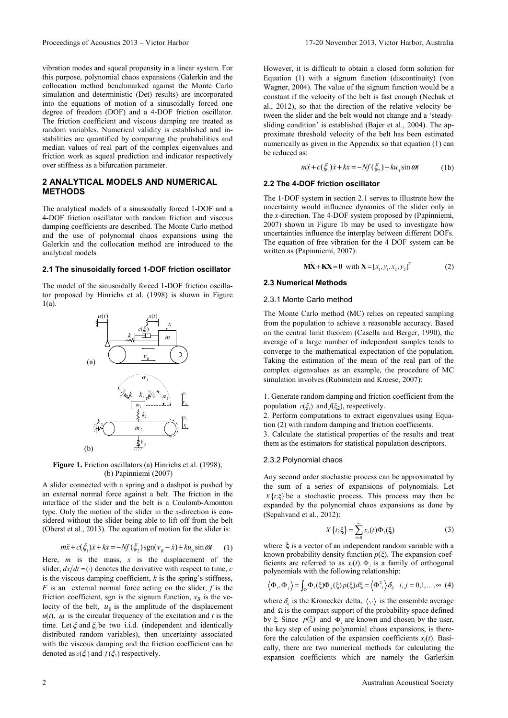vibration modes and squeal propensity in a linear system. For this purpose, polynomial chaos expansions (Galerkin and the collocation method benchmarked against the Monte Carlo simulation and deterministic (Det) results) are incorporated into the equations of motion of a sinusoidally forced one degree of freedom (DOF) and a 4-DOF friction oscillator. The friction coefficient and viscous damping are treated as random variables. Numerical validity is established and instabilities are quantified by comparing the probabilities and median values of real part of the complex eigenvalues and friction work as squeal prediction and indicator respectively over stiffness as a bifurcation parameter.

# 2 ANALYTICAL MODELS AND NUMERICAL METHODS

The analytical models of a sinusoidally forced 1-DOF and a 4-DOF friction oscillator with random friction and viscous damping coefficients are described. The Monte Carlo method and the use of polynomial chaos expansions using the Galerkin and the collocation method are introduced to the analytical models

# 2.1 The sinusoidally forced 1-DOF friction oscillator

The model of the sinusoidally forced 1-DOF friction oscillator proposed by Hinrichs et al. (1998) is shown in Figure 1(a).



Figure 1. Friction oscillators (a) Hinrichs et al. (1998); (b) Papinniemi (2007)

A slider connected with a spring and a dashpot is pushed by an external normal force against a belt. The friction in the interface of the slider and the belt is a Coulomb-Amonton type. Only the motion of the slider in the x-direction is considered without the slider being able to lift off from the belt (Oberst et al., 2013). The equation of motion for the slider is:

$$
m\ddot{x} + c(\xi_1)\dot{x} + kx = -Nf(\xi_2)\operatorname{sgn}(v_B - \dot{x}) + ku_0 \sin \omega t \tag{1}
$$

Here,  $m$  is the mass,  $x$  is the displacement of the slider,  $dx/dt = ($ ) denotes the derivative with respect to time, c is the viscous damping coefficient,  $k$  is the spring's stiffness,  $F$  is an external normal force acting on the slider,  $f$  is the friction coefficient, sgn is the signum function,  $v_B$  is the velocity of the belt,  $u_0$  is the amplitude of the displacement  $u(t)$ ,  $\omega$  is the circular frequency of the excitation and t is the time. Let  $\xi_1$  and  $\xi_2$  be two i.i.d. (independent and identically distributed random variables), then uncertainty associated with the viscous damping and the friction coefficient can be denoted as  $c(\xi_1)$  and  $f(\xi_2)$  respectively.

However, it is difficult to obtain a closed form solution for Equation (1) with a signum function (discontinuity) (von Wagner, 2004). The value of the signum function would be a constant if the velocity of the belt is fast enough (Nechak et al., 2012), so that the direction of the relative velocity between the slider and the belt would not change and a 'steadysliding condition' is established (Bajer et al., 2004). The approximate threshold velocity of the belt has been estimated numerically as given in the Appendix so that equation (1) can be reduced as:

$$
m\ddot{x} + c(\xi_1)\dot{x} + kx = -Nf(\xi_2) + ku_0 \sin \omega t
$$
 (1b)

# 2.2 The 4-DOF friction oscillator

The 1-DOF system in section 2.1 serves to illustrate how the uncertainty would influence dynamics of the slider only in the x-direction. The 4-DOF system proposed by (Papinniemi, 2007) shown in Figure 1b may be used to investigate how uncertainties influence the interplay between different DOFs. The equation of free vibration for the 4 DOF system can be written as (Papinniemi, 2007):

$$
M\ddot{X} + KX = 0 \text{ with } X = [x_1, y_1, x_2, y_2]^T
$$
 (2)

# 2.3 Numerical Methods

#### 2.3.1 Monte Carlo method

The Monte Carlo method (MC) relies on repeated sampling from the population to achieve a reasonable accuracy. Based on the central limit theorem (Casella and Berger, 1990), the average of a large number of independent samples tends to converge to the mathematical expectation of the population. Taking the estimation of the mean of the real part of the complex eigenvalues as an example, the procedure of MC simulation involves (Rubinstein and Kroese, 2007):

1. Generate random damping and friction coefficient from the population  $c(\xi_1)$  and  $f(\xi_2)$ , respectively.

2. Perform computations to extract eigenvalues using Equation (2) with random damping and friction coefficients.

3. Calculate the statistical properties of the results and treat them as the estimators for statistical population descriptors.

# 2.3.2 Polynomial chaos

Any second order stochastic process can be approximated by the sum of a series of expansions of polynomials. Let  $X\{t;\xi\}$  be a stochastic process. This process may then be expanded by the polynomial chaos expansions as done by (Sepahvand et al., 2012):

$$
X\{t;\xi\} = \sum_{i=0}^{\infty} x_i(t)\Phi_i(\xi)
$$
 (3)

where ξ is a vector of an independent random variable with a known probability density function  $p(\xi)$ . The expansion coefficients are referred to as  $x_i(t)$ .  $\Phi_i$  is a family of orthogonal polynomials with the following relationship:

$$
\left\langle \Phi_i, \Phi_j \right\rangle = \int_{\Omega} \Phi_i(\xi) \Phi_j(\xi) p(\xi) d\xi = \left\langle \Phi^2_i \right\rangle \delta_{ij} \quad i, j = 0, 1, \dots, \infty \tag{4}
$$

where  $\delta_{ij}$  is the Kronecker delta,  $\langle \cdot, \cdot \rangle$  is the ensemble average and  $\Omega$  is the compact support of the probability space defined by  $\xi$ . Since  $p(\xi)$  and  $\Phi_i$  are known and chosen by the user, the key step of using polynomial chaos expansions, is therefore the calculation of the expansion coefficients  $x_i(t)$ . Basically, there are two numerical methods for calculating the expansion coefficients which are namely the Garlerkin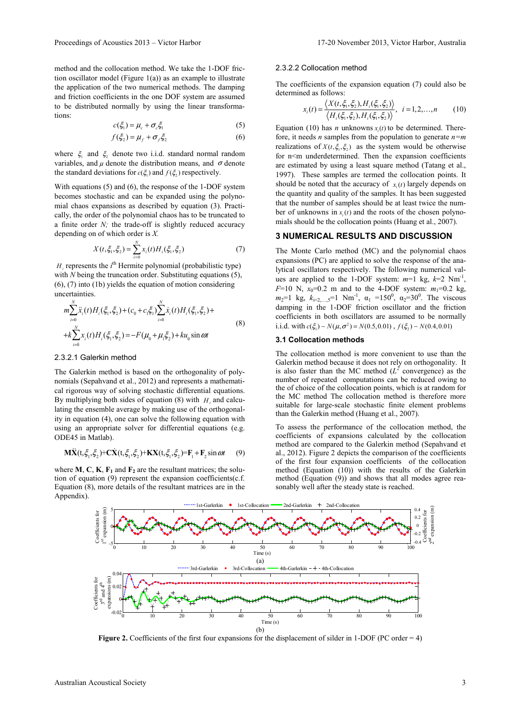method and the collocation method. We take the 1-DOF friction oscillator model (Figure  $1(a)$ ) as an example to illustrate the application of the two numerical methods. The damping and friction coefficients in the one DOF system are assumed to be distributed normally by using the linear transformations:

$$
c(\xi_1) = \mu_c + \sigma_c \xi_1 \tag{5}
$$

$$
f(\xi_2) = \mu_f + \sigma_f \xi_2 \tag{6}
$$

where  $\xi$  and  $\xi$  denote two i.i.d. standard normal random variables, and  $\mu$  denote the distribution means, and  $\sigma$  denote the standard deviations for  $c(\xi_1)$  and  $f(\xi_2)$  respectively.

With equations (5) and (6), the response of the 1-DOF system becomes stochastic and can be expanded using the polynomial chaos expansions as described by equation (3). Practically, the order of the polynomial chaos has to be truncated to a finite order  $N$ ; the trade-off is slightly reduced accuracy depending on of which order is X.

$$
X(t, \xi_1, \xi_2) = \sum_{i=0}^{N} x_i(t) H_i(\xi_1, \xi_2)
$$
 (7)

 $H_i$  represents the  $i^{\text{th}}$  Hermite polynomial (probabilistic type) with  $N$  being the truncation order. Substituting equations  $(5)$ , (6), (7) into (1b) yields the equation of motion considering uncertainties.

$$
m\sum_{i=0}^{N} \ddot{x}_{i}(t)H_{i}(\xi_{1}, \xi_{2}) + (c_{0} + c_{1}\xi_{1})\sum_{i=0}^{N} \dot{x}_{i}(t)H_{i}(\xi_{1}, \xi_{2}) ++k\sum_{i=0}^{N} x_{i}(t)H_{i}(\xi_{1}, \xi_{2}) = -F(\mu_{0} + \mu_{1}\xi_{2}) + ku_{0} \sin \omega t
$$
\n(8)

## 2.3.2.1 Galerkin method

The Galerkin method is based on the orthogonality of polynomials (Sepahvand et al., 2012) and represents a mathematical rigorous way of solving stochastic differential equations. By multiplying both sides of equation (8) with  $H_i$  and calculating the ensemble average by making use of the orthogonality in equation (4), one can solve the following equation with using an appropriate solver for differential equations (e.g. ODE45 in Matlab).

$$
\mathbf{M}\ddot{\mathbf{X}}(t, \xi_1, \xi_2) + \mathbf{C}\dot{\mathbf{X}}(t, \xi_1, \xi_2) + \mathbf{K}\mathbf{X}(t, \xi_1, \xi_2) = \mathbf{F}_1 + \mathbf{F}_2 \sin \omega t \tag{9}
$$

where **M**, **C**, **K**, **F**<sub>1</sub> and **F**<sub>2</sub> are the resultant matrices; the solution of equation (9) represent the expansion coefficients(c.f. Equation (8), more details of the resultant matrices are in the Appendix).

#### 2.3.2.2 Collocation method

The coefficients of the expansion equation (7) could also be determined as follows:

$$
x_i(t) = \frac{\langle X(t, \xi_1, \xi_2), H_i(\xi_1, \xi_2) \rangle}{\langle H_i(\xi_1, \xi_2), H_i(\xi_1, \xi_2) \rangle}, \quad i = 1, 2, ..., n \tag{10}
$$

Equation (10) has *n* unknowns  $x_i(t)$  to be determined. Therefore, it needs *n* samples from the population to generate  $n=m$ realizations of  $X(t, \xi, \xi)$  as the system would be otherwise for  $n \leq m$  underdetermined. Then the expansion coefficients are estimated by using a least square method (Tatang et al., 1997). These samples are termed the collocation points. It should be noted that the accuracy of  $x_i(t)$  largely depends on the quantity and quality of the samples. It has been suggested that the number of samples should be at least twice the number of unknowns in  $x_i(t)$  and the roots of the chosen polynomials should be the collocation points (Huang et al., 2007).

# 3 NUMERICAL RESULTS AND DISCUSSION

The Monte Carlo method (MC) and the polynomial chaos expansions (PC) are applied to solve the response of the analytical oscillators respectively. The following numerical values are applied to the 1-DOF system:  $m=1$  kg,  $k=2$  Nm<sup>-1</sup>,  $F=10$  N,  $x_0=0.2$  m and to the 4-DOF system:  $m_1=0.2$  kg,  $m_2=1$  kg,  $k_{i=2,...,5}=1$  Nm<sup>-1</sup>,  $\alpha_1 =150^0$ ,  $\alpha_2=30^0$ . The viscous damping in the 1-DOF friction oscillator and the friction coefficients in both oscillators are assumed to be normally i.i.d. with  $c(\xi_1) \sim N(\mu, \sigma^2) = N(0.5, 0.01)$ ,  $f(\xi_2) \sim N(0.4, 0.01)$ 

# 3.1 Collocation methods

The collocation method is more convenient to use than the Galerkin method because it does not rely on orthogonality. It is also faster than the MC method  $(L^2$  convergence) as the number of repeated computations can be reduced owing to the of choice of the collocation points, which is at random for the MC method The collocation method is therefore more suitable for large-scale stochastic finite element problems than the Galerkin method (Huang et al., 2007).

To assess the performance of the collocation method, the coefficients of expansions calculated by the collocation method are compared to the Galerkin method (Sepahvand et al., 2012). Figure 2 depicts the comparison of the coefficients of the first four expansion coefficients of the collocation method (Equation  $(10)$ ) with the results of the Galerkin method (Equation (9)) and shows that all modes agree reasonably well after the steady state is reached.



Figure 2. Coefficients of the first four expansions for the displacement of silder in 1-DOF (PC order = 4)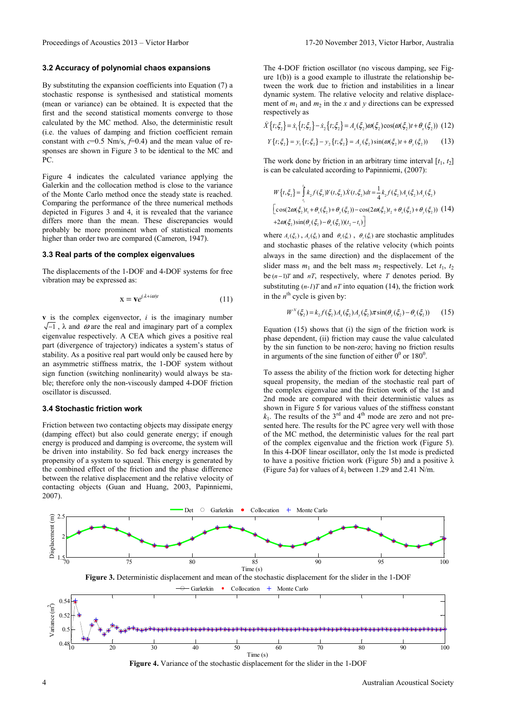# 3.2 Accuracy of polynomial chaos expansions

By substituting the expansion coefficients into Equation (7) a stochastic response is synthesised and statistical moments (mean or variance) can be obtained. It is expected that the first and the second statistical moments converge to those calculated by the MC method. Also, the deterministic result (i.e. the values of damping and friction coefficient remain constant with  $c=0.5$  Nm/s,  $f=0.4$ ) and the mean value of responses are shown in Figure 3 to be identical to the MC and PC.

Figure 4 indicates the calculated variance applying the Galerkin and the collocation method is close to the variance of the Monte Carlo method once the steady state is reached. Comparing the performance of the three numerical methods depicted in Figures 3 and 4, it is revealed that the variance differs more than the mean. These discrepancies would probably be more prominent when of statistical moments higher than order two are compared (Cameron, 1947).

# 3.3 Real parts of the complex eigenvalues

The displacements of the 1-DOF and 4-DOF systems for free vibration may be expressed as:

$$
\mathbf{x} = \mathbf{v} e^{(\lambda + i\omega)t} \tag{11}
$$

 $v$  is the complex eigenvector,  $i$  is the imaginary number  $\sqrt{-1}$ ,  $\lambda$  and  $\omega$  are the real and imaginary part of a complex eigenvalue respectively. A CEA which gives a positive real part (divergence of trajectory) indicates a system's status of stability. As a positive real part would only be caused here by an asymmetric stiffness matrix, the 1-DOF system without sign function (switching nonlinearity) would always be stable; therefore only the non-viscously damped 4-DOF friction oscillator is discussed.

## 3.4 Stochastic friction work

Friction between two contacting objects may dissipate energy (damping effect) but also could generate energy; if enough energy is produced and damping is overcome, the system will be driven into instability. So fed back energy increases the propensity of a system to squeal. This energy is generated by the combined effect of the friction and the phase difference between the relative displacement and the relative velocity of contacting objects (Guan and Huang, 2003, Papinniemi, 2007).

The 4-DOF friction oscillator (no viscous damping, see Figure 1(b)) is a good example to illustrate the relationship between the work due to friction and instabilities in a linear dynamic system. The relative velocity and relative displacement of  $m_1$  and  $m_2$  in the x and y directions can be expressed respectively as

$$
\dot{X}\{t;\xi_2\} = \dot{x}_1\{t;\xi_2\} - \dot{x}_2\{t;\xi_2\} = A_x(\xi_2)\omega(\xi_2)\cos(\omega(\xi_2)t + \theta_x(\xi_2))
$$
 (12)

$$
Y\{t;\xi_2\} = y_1\{t;\xi_2\} - y_2\{t;\xi_2\} = A_y(\xi_2)\sin(\omega(\xi_2)t + \theta_y(\xi_2))
$$
 (13)

The work done by friction in an arbitrary time interval  $[t_1, t_2]$ is can be calculated according to Papinniemi, (2007):

$$
W\{t,\xi_2\} = \int_{t_1}^{t_1} k_2 f(\xi_2) Y(t,\xi_2) \dot{X}(t,\xi_2) dt = \frac{1}{4} k_2 f(\xi_2) A_x(\xi_2) A_y(\xi_2)
$$
  
\n
$$
\left[ \cos(2\omega(\xi_2)t_1 + \theta_x(\xi_2) + \theta_y(\xi_2)) - \cos(2\omega(\xi_2)t_2 + \theta_x(\xi_2) + \theta_y(\xi_2)) (14) + 2\omega(\xi_2) \sin(\theta_y(\xi_2) - \theta_x(\xi_2))(t_2 - t_1) \right]
$$

where  $A_x(\xi_2)$ ,  $A_y(\xi_2)$  and  $\theta_x(\xi_1)$ ,  $\theta_y(\xi_1)$  are stochastic amplitudes and stochastic phases of the relative velocity (which points always in the same direction) and the displacement of the slider mass  $m_1$  and the belt mass  $m_2$  respectively. Let  $t_1$ ,  $t_2$ be  $(n-1)T$  and  $nT$ , respectively, where T denotes period. By substituting  $(n-1)T$  and  $nT$  into equation (14), the friction work in the  $n^{\text{th}}$  cycle is given by:

$$
W^{N}(\xi_{2}) = k_{2} f(\xi_{2}) A_{x}(\xi_{2}) A_{y}(\xi_{2}) \pi \sin(\theta_{y}(\xi_{2}) - \theta_{x}(\xi_{2})) \qquad (15)
$$

Equation (15) shows that (i) the sign of the friction work is phase dependent, (ii) friction may cause the value calculated by the sin function to be non-zero; having no friction results in arguments of the sine function of either  $0^0$  or  $180^0$ .

To assess the ability of the friction work for detecting higher squeal propensity, the median of the stochastic real part of the complex eigenvalue and the friction work of the 1st and 2nd mode are compared with their deterministic values as shown in Figure 5 for various values of the stiffness constant  $k_1$ . The results of the 3<sup>rd</sup> and 4<sup>th</sup> mode are zero and not presented here. The results for the PC agree very well with those of the MC method, the deterministic values for the real part of the complex eigenvalue and the friction work (Figure 5). In this 4-DOF linear oscillator, only the 1st mode is predicted to have a positive friction work (Figure 5b) and a positive  $\lambda$ (Figure 5a) for values of  $k_1$  between 1.29 and 2.41 N/m.



Figure 4. Variance of the stochastic displacement for the slider in the 1-DOF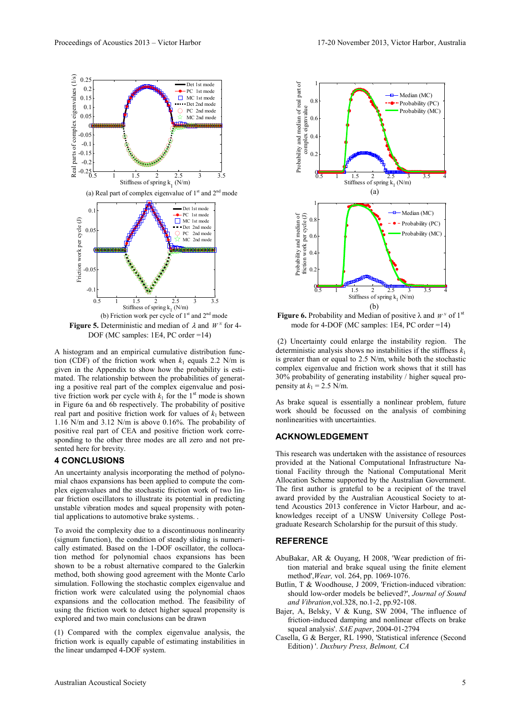

A histogram and an empirical cumulative distribution function (CDF) of the friction work when  $k_1$  equals 2.2 N/m is given in the Appendix to show how the probability is estimated. The relationship between the probabilities of generating a positive real part of the complex eigenvalue and positive friction work per cycle with  $k_1$  for the 1<sup>st</sup> mode is shown in Figure 6a and 6b respectively. The probability of positive real part and positive friction work for values of  $k_1$  between 1.16 N/m and 3.12 N/m is above 0.16%. The probability of positive real part of CEA and positive friction work corresponding to the other three modes are all zero and not presented here for brevity.

# 4 CONCLUSIONS

An uncertainty analysis incorporating the method of polynomial chaos expansions has been applied to compute the complex eigenvalues and the stochastic friction work of two linear friction oscillators to illustrate its potential in predicting unstable vibration modes and squeal propensity with potential applications to automotive brake systems. .

To avoid the complexity due to a discontinuous nonlinearity (signum function), the condition of steady sliding is numerically estimated. Based on the 1-DOF oscillator, the collocation method for polynomial chaos expansions has been shown to be a robust alternative compared to the Galerkin method, both showing good agreement with the Monte Carlo simulation. Following the stochastic complex eigenvalue and friction work were calculated using the polynomial chaos expansions and the collocation method. The feasibility of using the friction work to detect higher squeal propensity is explored and two main conclusions can be drawn

(1) Compared with the complex eigenvalue analysis, the friction work is equally capable of estimating instabilities in the linear undamped 4-DOF system.



**Figure 6.** Probability and Median of positive  $\lambda$  and  $W^N$  of 1<sup>st</sup> mode for 4-DOF (MC samples: 1E4, PC order =14)

 (2) Uncertainty could enlarge the instability region. The deterministic analysis shows no instabilities if the stiffness  $k_1$ is greater than or equal to 2.5 N/m, while both the stochastic complex eigenvalue and friction work shows that it still has 30% probability of generating instability / higher squeal propensity at  $k_1 = 2.5$  N/m.

As brake squeal is essentially a nonlinear problem, future work should be focussed on the analysis of combining nonlinearities with uncertainties.

# ACKNOWLEDGEMENT

This research was undertaken with the assistance of resources provided at the National Computational Infrastructure National Facility through the National Computational Merit Allocation Scheme supported by the Australian Government. The first author is grateful to be a recipient of the travel award provided by the Australian Acoustical Society to attend Acoustics 2013 conference in Victor Harbour, and acknowledges receipt of a UNSW University College Postgraduate Research Scholarship for the pursuit of this study.

# **REFERENCE**

- AbuBakar, AR & Ouyang, H 2008, 'Wear prediction of frition material and brake squeal using the finite element method',Wear, vol. 264, pp. 1069-1076.
- Butlin, T & Woodhouse, J 2009, 'Friction-induced vibration: should low-order models be believed?', Journal of Sound and Vibration,vol.328, no.1-2, pp.92-108.
- Bajer, A, Belsky, V & Kung, SW 2004, 'The influence of friction-induced damping and nonlinear effects on brake squeal analysis'. SAE paper, 2004-01-2794
- Casella, G & Berger, RL 1990, 'Statistical inference (Second Edition) '. Duxbury Press, Belmont, CA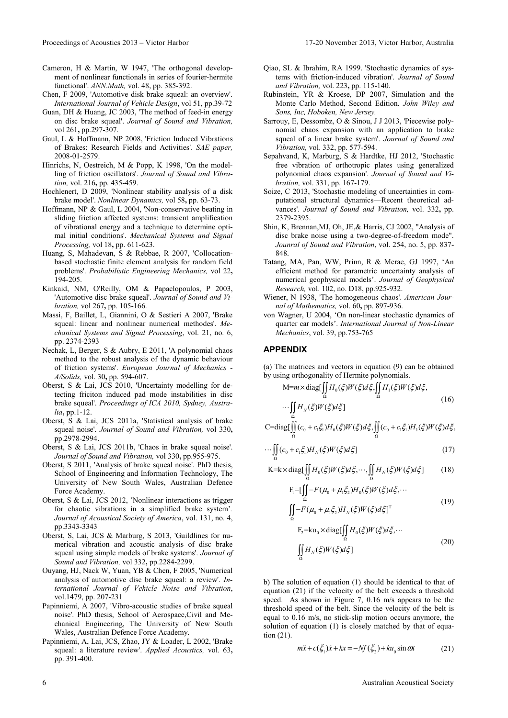- Cameron, H & Martin, W 1947, 'The orthogonal development of nonlinear functionals in series of fourier-hermite functional'. ANN.Math, vol. 48, pp. 385-392.
- Chen, F 2009, 'Automotive disk brake squeal: an overview'. International Journal of Vehicle Design, vol 51, pp.39-72
- Guan, DH & Huang, JC 2003, 'The method of feed-in energy on disc brake squeal'. Journal of Sound and Vibration, vol 261, pp.297-307.
- Gaul, L & Hoffmann, NP 2008, 'Friction Induced Vibrations of Brakes: Research Fields and Activities'. SAE paper, 2008-01-2579.
- Hinrichs, N, Oestreich, M & Popp, K 1998, 'On the modelling of friction oscillators'. Journal of Sound and Vibration, vol. 216, pp. 435-459.
- Hochlenert, D 2009, 'Nonlinear stability analysis of a disk brake model'. Nonlinear Dynamics, vol 58, pp. 63-73.
- Hoffmann, NP & Gaul, L 2004, 'Non-conservative beating in sliding friction affected systems: transient amplification of vibrational energy and a technique to determine optimal initial conditions'. Mechanical Systems and Signal Processing, vol 18, pp. 611-623.
- Huang, S, Mahadevan, S & Rebbae, R 2007, 'Collocationbased stochastic finite element analysis for random field problems'. Probabilistic Engineering Mechanics, vol 22, 194-205.
- Kinkaid, NM, O'Reilly, OM & Papaclopoulos, P 2003, 'Automotive disc brake squeal'. Journal of Sound and Vibration, vol 267, pp. 105-166.
- Massi, F, Baillet, L, Giannini, O & Sestieri A 2007, 'Brake squeal: linear and nonlinear numerical methodes'. Mechanical Systems and Signal Processing, vol. 21, no. 6, pp. 2374-2393
- Nechak, L, Berger, S & Aubry, E 2011, 'A polynomial chaos method to the robust analysis of the dynamic behaviour of friction systems'. European Journal of Mechanics - A/Solids, vol. 30, pp. 594-607.
- Oberst, S & Lai, JCS 2010, 'Uncertainty modelling for detecting friciton induced pad mode instabilities in disc brake squeal'. Proceedings of ICA 2010, Sydney, Australia, pp.1-12.
- Oberst, S & Lai, JCS 2011a, 'Statistical analysis of brake squeal noise'. Journal of Sound and Vibration, vol 330, pp.2978-2994.
- Oberst, S & Lai, JCS 2011b, 'Chaos in brake squeal noise'. Journal of Sound and Vibration, vol 330, pp.955-975.
- Oberst, S 2011, 'Analysis of brake squeal noise'. PhD thesis, School of Engineering and Information Technology, The University of New South Wales, Australian Defence Force Academy.
- Oberst, S & Lai, JCS 2012, 'Nonlinear interactions as trigger for chaotic vibrations in a simplified brake system'. Journal of Acoustical Society of America, vol. 131, no. 4, pp.3343-3343
- Oberst, S, Lai, JCS & Marburg, S 2013, 'Guildlines for numerical vibration and acoustic analysis of disc brake squeal using simple models of brake systems'. Journal of Sound and Vibration, vol 332, pp.2284-2299.
- Ouyang, HJ, Nack W, Yuan, YB & Chen, F 2005, 'Numerical analysis of automotive disc brake squeal: a review'. International Journal of Vehicle Noise and Vibration, vol.1479, pp. 207-231
- Papinniemi, A 2007, 'Vibro-acoustic studies of brake squeal noise'. PhD thesis, School of Aerospace,Civil and Mechanical Engineering, The University of New South Wales, Australian Defence Force Academy.
- Papinniemi, A, Lai, JCS, Zhao, JY & Loader, L 2002, 'Brake squeal: a literature review'. Applied Acoustics, vol. 63, pp. 391-400.
- Qiao, SL & Ibrahim, RA 1999. 'Stochastic dynamics of systems with friction-induced vibration'. Journal of Sound and Vibration, vol. 223, pp. 115-140.
- Rubinstein, YR & Kroese, DP 2007, Simulation and the Monte Carlo Method, Second Edition. John Wiley and Sons, Inc, Hoboken, New Jersey.
- Sarrouy, E, Dessombz, O & Sinou, J J 2013, 'Piecewise polynomial chaos expansion with an application to brake squeal of a linear brake system'. Journal of Sound and Vibration, vol. 332, pp. 577-594.
- Sepahvand, K, Marburg, S & Hardtke, HJ 2012, 'Stochastic free vibration of orthotropic plates using generalized polynomial chaos expansion'. Journal of Sound and Vibration, vol. 331, pp. 167-179.
- Soize, C 2013, 'Stochastic modeling of uncertainties in computational structural dynamics—Recent theoretical advances'. Journal of Sound and Vibration, vol. 332, pp. 2379-2395.
- Shin, K, Brennan,MJ, Oh, JE,& Harris, CJ 2002, "Analysis of disc brake noise using a two-degree-of-freedom mode". Jounral of Sound and Vibration, vol. 254, no. 5, pp. 837- 848.
- Tatang, MA, Pan, WW, Prinn, R & Mcrae, GJ 1997, 'An efficient method for parametric uncertainty analysis of numerical geophysical models'. Journal of Geophysical Research, vol. 102, no. D18, pp.925-932.
- Wiener, N 1938, 'The homogeneous chaos'. American Journal of Mathematics, vol. 60, pp. 897-936.
- von Wagner, U 2004, 'On non-linear stochastic dynamics of quarter car models'. International Journal of Non-Linear Mechanics, vol. 39, pp.753-765

# APPENDIX

Ω

(a) The matrices and vectors in equation (9) can be obtained by using orthogonality of Hermite polynomials.

$$
M=m \times diag[\iint_{\Omega} H_0(\xi)W(\xi)d\xi, \iint_{\Omega} H_1(\xi)W(\xi)d\xi,
$$
 (16)

$$
\cdots \iint_{\Omega} H_N(\xi) W(\xi) d\xi
$$
 (16)

$$
\text{C=}\text{diag}[\iint\limits_{\Omega}(c_0+c_1\xi_1)H_0(\xi)W(\xi)d\xi, \iint\limits_{\Omega}(c_0+c_1\xi_1)H_1(\xi)W(\xi)d\xi,
$$

$$
\cdots \iint_{\Omega} (c_0 + c_1 \xi_1) H_N(\xi) W(\xi) d\xi ] \tag{17}
$$

$$
K = k \times diag[\iint_{\Omega} H_0(\xi) W(\xi) d\xi, \cdots, \iint_{\Omega} H_N(\xi) W(\xi) d\xi]
$$
 (18)

$$
F_{1} = \left[\iint_{\Omega} -F(\mu_{0} + \mu_{1}\xi_{2})H_{0}(\xi)W(\xi)d\xi, \cdots\right]
$$
\n(19)

$$
\iint_{\Omega} -F(\mu_0 + \mu_1 \xi_2)H_N(\xi)W(\xi)d\xi]^T
$$
  
\n
$$
F_2 = ku_0 \times \text{diag}[\iint_{\Omega} H_0(\xi)W(\xi)d\xi, \cdots
$$
  
\n
$$
\iint H_N(\xi)W(\xi)d\xi]
$$
 (20)

b) The solution of equation (1) should be identical to that of equation (21) if the velocity of the belt exceeds a threshold speed. As shown in Figure 7, 0.16 m/s appears to be the threshold speed of the belt. Since the velocity of the belt is equal to 
$$
0.16
$$
 m/s, no stick-slip motion occurs anymore, the solution of equation (1) is closely matched by that of equation (21).

$$
m\ddot{x} + c(\xi_1)\dot{x} + kx = -Nf(\xi_2) + ku_0 \sin \omega t \tag{21}
$$